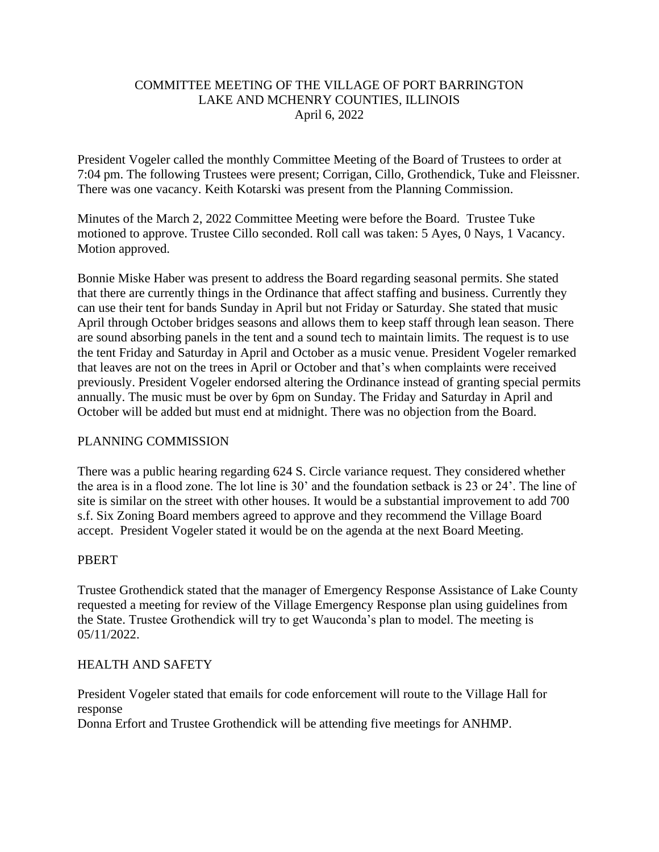## COMMITTEE MEETING OF THE VILLAGE OF PORT BARRINGTON LAKE AND MCHENRY COUNTIES, ILLINOIS April 6, 2022

President Vogeler called the monthly Committee Meeting of the Board of Trustees to order at 7:04 pm. The following Trustees were present; Corrigan, Cillo, Grothendick, Tuke and Fleissner. There was one vacancy. Keith Kotarski was present from the Planning Commission.

Minutes of the March 2, 2022 Committee Meeting were before the Board. Trustee Tuke motioned to approve. Trustee Cillo seconded. Roll call was taken: 5 Ayes, 0 Nays, 1 Vacancy. Motion approved.

Bonnie Miske Haber was present to address the Board regarding seasonal permits. She stated that there are currently things in the Ordinance that affect staffing and business. Currently they can use their tent for bands Sunday in April but not Friday or Saturday. She stated that music April through October bridges seasons and allows them to keep staff through lean season. There are sound absorbing panels in the tent and a sound tech to maintain limits. The request is to use the tent Friday and Saturday in April and October as a music venue. President Vogeler remarked that leaves are not on the trees in April or October and that's when complaints were received previously. President Vogeler endorsed altering the Ordinance instead of granting special permits annually. The music must be over by 6pm on Sunday. The Friday and Saturday in April and October will be added but must end at midnight. There was no objection from the Board.

# PLANNING COMMISSION

There was a public hearing regarding 624 S. Circle variance request. They considered whether the area is in a flood zone. The lot line is 30' and the foundation setback is 23 or 24'. The line of site is similar on the street with other houses. It would be a substantial improvement to add 700 s.f. Six Zoning Board members agreed to approve and they recommend the Village Board accept. President Vogeler stated it would be on the agenda at the next Board Meeting.

#### PBERT

Trustee Grothendick stated that the manager of Emergency Response Assistance of Lake County requested a meeting for review of the Village Emergency Response plan using guidelines from the State. Trustee Grothendick will try to get Wauconda's plan to model. The meeting is 05/11/2022.

#### HEALTH AND SAFETY

President Vogeler stated that emails for code enforcement will route to the Village Hall for response

Donna Erfort and Trustee Grothendick will be attending five meetings for ANHMP.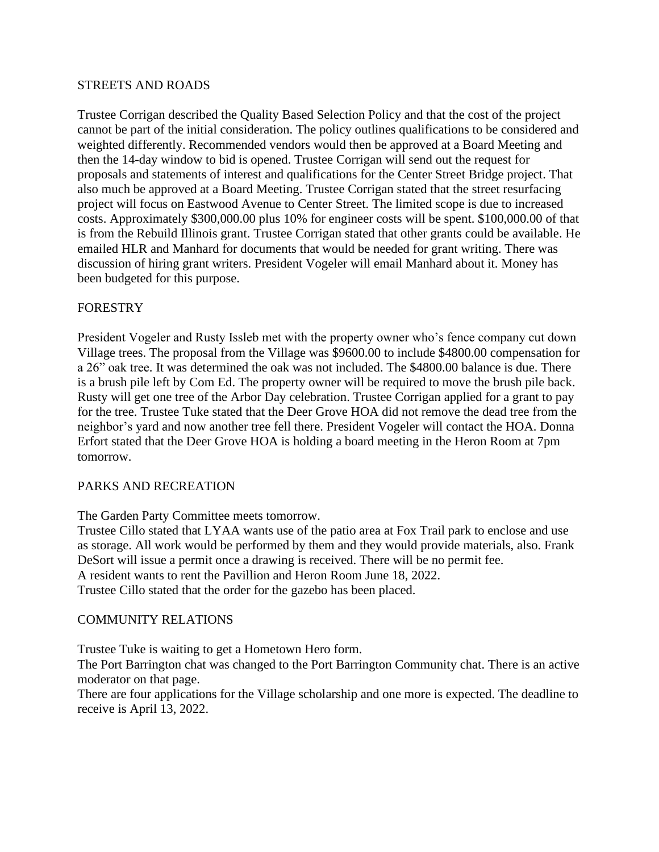#### STREETS AND ROADS

Trustee Corrigan described the Quality Based Selection Policy and that the cost of the project cannot be part of the initial consideration. The policy outlines qualifications to be considered and weighted differently. Recommended vendors would then be approved at a Board Meeting and then the 14-day window to bid is opened. Trustee Corrigan will send out the request for proposals and statements of interest and qualifications for the Center Street Bridge project. That also much be approved at a Board Meeting. Trustee Corrigan stated that the street resurfacing project will focus on Eastwood Avenue to Center Street. The limited scope is due to increased costs. Approximately \$300,000.00 plus 10% for engineer costs will be spent. \$100,000.00 of that is from the Rebuild Illinois grant. Trustee Corrigan stated that other grants could be available. He emailed HLR and Manhard for documents that would be needed for grant writing. There was discussion of hiring grant writers. President Vogeler will email Manhard about it. Money has been budgeted for this purpose.

#### FORESTRY

President Vogeler and Rusty Issleb met with the property owner who's fence company cut down Village trees. The proposal from the Village was \$9600.00 to include \$4800.00 compensation for a 26" oak tree. It was determined the oak was not included. The \$4800.00 balance is due. There is a brush pile left by Com Ed. The property owner will be required to move the brush pile back. Rusty will get one tree of the Arbor Day celebration. Trustee Corrigan applied for a grant to pay for the tree. Trustee Tuke stated that the Deer Grove HOA did not remove the dead tree from the neighbor's yard and now another tree fell there. President Vogeler will contact the HOA. Donna Erfort stated that the Deer Grove HOA is holding a board meeting in the Heron Room at 7pm tomorrow.

#### PARKS AND RECREATION

The Garden Party Committee meets tomorrow.

Trustee Cillo stated that LYAA wants use of the patio area at Fox Trail park to enclose and use as storage. All work would be performed by them and they would provide materials, also. Frank DeSort will issue a permit once a drawing is received. There will be no permit fee. A resident wants to rent the Pavillion and Heron Room June 18, 2022. Trustee Cillo stated that the order for the gazebo has been placed.

#### COMMUNITY RELATIONS

Trustee Tuke is waiting to get a Hometown Hero form.

The Port Barrington chat was changed to the Port Barrington Community chat. There is an active moderator on that page.

There are four applications for the Village scholarship and one more is expected. The deadline to receive is April 13, 2022.